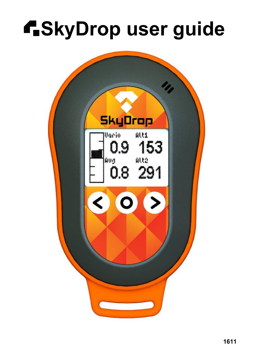# **f.SkyDrop user guide**

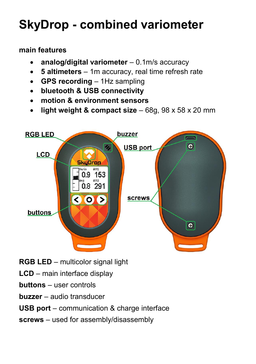## **SkyDrop - combined variometer**

#### **main features**

- x **analog/digital variometer** 0.1m/s accuracy
- **5 altimeters** 1m accuracy, real time refresh rate
- x **GPS recording** 1Hz sampling
- x **bluetooth & USB connectivity**
- x **motion & environment sensors**
- x **light weight & compact size** 68g, 98 x 58 x 20 mm



- **RGB LED** multicolor signal light
- **LCD** main interface display
- **buttons** user controls
- **buzzer** audio transducer

#### **USB port** – communication & charge interface

**screws** – used for assembly/disassembly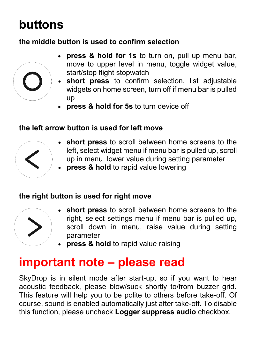### **buttons**

#### **the middle button is used to confirm selection**



- x **press & hold for 1s** to turn on, pull up menu bar, move to upper level in menu, toggle widget value, start/stop flight stopwatch
- x **short press** to confirm selection, list adjustable widgets on home screen, turn off if menu bar is pulled up
- x **press & hold for 5s** to turn device off

#### **the left arrow button is used for left move**



- **short press** to scroll between home screens to the left, select widget menu if menu bar is pulled up, scroll up in menu, lower value during setting parameter
- x **press & hold** to rapid value lowering

#### **the right button is used for right move**



- **short press** to scroll between home screens to the right, select settings menu if menu bar is pulled up, scroll down in menu, raise value during setting parameter
- x **press & hold** to rapid value raising

#### **important note – please read**

SkyDrop is in silent mode after start-up, so if you want to hear acoustic feedback, please blow/suck shortly to/from buzzer grid. This feature will help you to be polite to others before take-off. Of course, sound is enabled automatically just after take-off. To disable this function, please uncheck **Logger suppress audio** checkbox.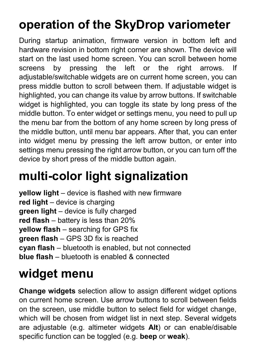# **operation of the SkyDrop variometer**

During startup animation, firmware version in bottom left and hardware revision in bottom right corner are shown. The device will start on the last used home screen. You can scroll between home screens by pressing the left or the right arrows. If adjustable/switchable widgets are on current home screen, you can press middle button to scroll between them. If adjustable widget is highlighted, you can change its value by arrow buttons. If switchable widget is highlighted, you can toggle its state by long press of the middle button. To enter widget or settings menu, you need to pull up the menu bar from the bottom of any home screen by long press of the middle button, until menu bar appears. After that, you can enter into widget menu by pressing the left arrow button, or enter into settings menu pressing the right arrow button, or you can turn off the device by short press of the middle button again.

### **multi-color light signalization**

**yellow light** – device is flashed with new firmware **red light** – device is charging **green light** – device is fully charged **red flash** – battery is less than 20% **yellow flash** – searching for GPS fix **green flash** – GPS 3D fix is reached **cyan flash** – bluetooth is enabled, but not connected **blue flash** – bluetooth is enabled & connected

## **widget menu**

**Change widgets** selection allow to assign different widget options on current home screen. Use arrow buttons to scroll between fields on the screen, use middle button to select field for widget change, which will be chosen from widget list in next step. Several widgets are adjustable (e.g. altimeter widgets **Alt**) or can enable/disable specific function can be toggled (e.g. **beep** or **weak**).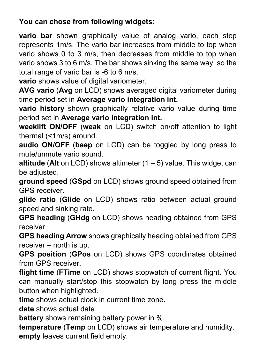#### **You can chose from following widgets:**

**vario bar** shown graphically value of analog vario, each step represents 1m/s. The vario bar increases from middle to top when vario shows 0 to 3 m/s, then decreases from middle to top when vario shows 3 to 6 m/s. The bar shows sinking the same way, so the total range of vario bar is -6 to 6 m/s.

**vario** shows value of digital variometer.

**AVG vario** (**Avg** on LCD) shows averaged digital variometer during time period set in **Average vario integration int.**

**vario history** shown graphically relative vario value during time period set in **Average vario integration int.**

**weeklift ON/OFF** (**weak** on LCD) switch on/off attention to light thermal (<1m/s) around.

**audio ON/OFF** (**beep** on LCD) can be toggled by long press to mute/unmute vario sound.

**altitude** (Alt on LCD) shows altimeter  $(1 – 5)$  value. This widget can be adjusted.

**ground speed** (**GSpd** on LCD) shows ground speed obtained from GPS receiver.

**glide ratio** (**Glide** on LCD) shows ratio between actual ground speed and sinking rate.

**GPS heading** (**GHdg** on LCD) shows heading obtained from GPS receiver.

**GPS heading Arrow** shows graphically heading obtained from GPS receiver – north is up.

**GPS position** (**GPos** on LCD) shows GPS coordinates obtained from GPS receiver.

**flight time** (**FTime** on LCD) shows stopwatch of current flight. You can manually start/stop this stopwatch by long press the middle button when highlighted.

**time** shows actual clock in current time zone.

**date** shows actual date.

**battery** shows remaining battery power in %.

**temperature** (**Temp** on LCD) shows air temperature and humidity. **empty** leaves current field empty.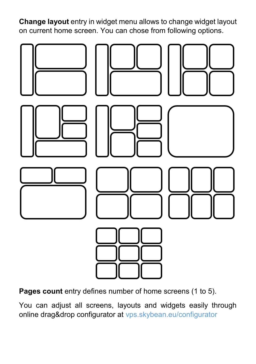**Change layout** entry in widget menu allows to change widget layout on current home screen. You can chose from following options.



**Pages count** entry defines number of home screens (1 to 5).

You can adjust all screens, layouts and widgets easily through online drag&drop configurator at [vps.skybean.eu/configurator](http://vps.skybean.eu/configurator)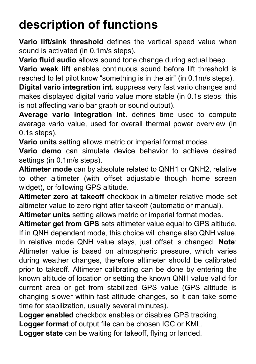## **description of functions**

**Vario lift/sink threshold** defines the vertical speed value when sound is activated (in 0.1m/s steps).

**Vario fluid audio** allows sound tone change during actual beep.

**Vario weak lift** enables continuous sound before lift threshold is reached to let pilot know "something is in the air" (in 0.1m/s steps).

**Digital vario integration int.** suppress very fast vario changes and makes displayed digital vario value more stable (in 0.1s steps; this is not affecting vario bar graph or sound output).

**Average vario integration int.** defines time used to compute average vario value, used for overall thermal power overview (in 0.1s steps).

**Vario units** setting allows metric or imperial format modes.

**Vario demo** can simulate device behavior to achieve desired settings (in 0.1m/s steps).

**Altimeter mode** can by absolute related to QNH1 or QNH2, relative to other altimeter (with offset adjustable though home screen widget), or following GPS altitude.

**Altimeter zero at takeoff** checkbox in altimeter relative mode set altimeter value to zero right after takeoff (automatic or manual).

**Altimeter units** setting allows metric or imperial format modes.

**Altimeter get from GPS** sets altimeter value equal to GPS altitude. If in QNH dependent mode, this choice will change also QNH value. In relative mode QNH value stays, just offset is changed. **Note**: Altimeter value is based on atmospheric pressure, which varies during weather changes, therefore altimeter should be calibrated prior to takeoff. Altimeter calibrating can be done by entering the known altitude of location or setting the known QNH value valid for current area or get from stabilized GPS value (GPS altitude is changing slower within fast altitude changes, so it can take some time for stabilization, usually several minutes).

**Logger enabled** checkbox enables or disables GPS tracking.

**Logger format** of output file can be chosen IGC or KML.

**Logger state** can be waiting for takeoff, flying or landed.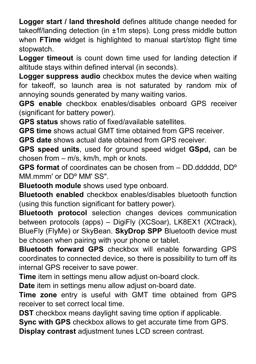**Logger start / land threshold** defines altitude change needed for takeoff/landing detection (in ±1m steps). Long press middle button when **FTime** widget is highlighted to manual start/stop flight time stopwatch.

**Logger timeout** is count down time used for landing detection if altitude stays within defined interval (in seconds).

**Logger suppress audio** checkbox mutes the device when waiting for takeoff, so launch area is not saturated by random mix of annoying sounds generated by many waiting varios.

**GPS enable** checkbox enables/disables onboard GPS receiver (significant for battery power).

**GPS status** shows ratio of fixed/available satellites.

**GPS time** shows actual GMT time obtained from GPS receiver.

**GPS date** shows actual date obtained from GPS receiver.

**GPS speed units**, used for ground speed widget **GSpd,** can be chosen from – m/s, km/h, mph or knots.

**GPS format** of coordinates can be chosen from – DD.dddddd, DDº MM mmm' or DD<sup>o</sup> MM' SS"

**Bluetooth module** shows used type onboard.

**Bluetooth enabled** checkbox enables/disables bluetooth function (using this function significant for battery power).

**Bluetooth protocol** selection changes devices communication between protocols (apps) – DigiFly (XCSoar), LK8EX1 (XCtrack), BlueFly (FlyMe) or SkyBean. **SkyDrop SPP** Bluetooth device must be chosen when pairing with your phone or tablet.

**Bluetooth forward GPS** checkbox will enable forwarding GPS coordinates to connected device, so there is possibility to turn off its internal GPS receiver to save power.

**Time** item in settings menu allow adjust on-board clock.

**Date** item in settings menu allow adjust on-board date.

**Time zone** entry is useful with GMT time obtained from GPS receiver to set correct local time.

**DST** checkbox means daylight saving time option if applicable.

**Sync with GPS** checkbox allows to get accurate time from GPS.

**Display contrast** adjustment tunes LCD screen contrast.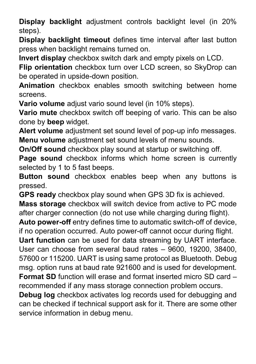**Display backlight** adjustment controls backlight level (in 20% steps).

**Display backlight timeout** defines time interval after last button press when backlight remains turned on.

**Invert display** checkbox switch dark and empty pixels on LCD.

**Flip orientation** checkbox turn over LCD screen, so SkyDrop can be operated in upside-down position.

**Animation** checkbox enables smooth switching between home screens.

**Vario volume** adjust vario sound level (in 10% steps).

**Vario mute** checkbox switch off beeping of vario. This can be also done by **beep** widget.

**Alert volume** adjustment set sound level of pop-up info messages. **Menu volume** adjustment set sound levels of menu sounds.

**On/Off sound** checkbox play sound at startup or switching off.

**Page sound** checkbox informs which home screen is currently selected by 1 to 5 fast beeps.

**Button sound** checkbox enables beep when any buttons is pressed.

**GPS ready** checkbox play sound when GPS 3D fix is achieved.

**Mass storage** checkbox will switch device from active to PC mode after charger connection (do not use while charging during flight).

**Auto power-off** entry defines time to automatic switch-off of device, if no operation occurred. Auto power-off cannot occur during flight.

**Uart function** can be used for data streaming by UART interface. User can choose from several baud rates – 9600, 19200, 38400, 57600 or 115200. UART is using same protocol as Bluetooth. Debug msg. option runs at baud rate 921600 and is used for development. **Format SD** function will erase and format inserted micro SD card – recommended if any mass storage connection problem occurs.

**Debug log** checkbox activates log records used for debugging and can be checked if technical support ask for it. There are some other service information in debug menu.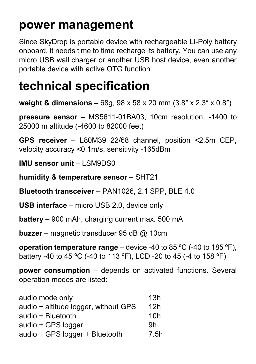#### **power management**

Since SkyDrop is portable device with rechargeable Li-Poly battery onboard, it needs time to time recharge its battery. You can use any micro USB wall charger or another USB host device, even another portable device with active OTG function.

#### **technical specification**

**weight & dimensions** – 68g, 98 x 58 x 20 mm (3.8″ x 2.3″ x 0.8″)

**pressure sensor** – MS5611-01BA03, 10cm resolution, -1400 to 25000 m altitude (-4600 to 82000 feet)

**GPS receiver** – L80M39 22/68 channel, position <2.5m CEP, velocity accuracy <0.1m/s, sensitivity -165dBm

**IMU sensor unit** – LSM9DS0

**humidity & temperature sensor** – SHT21

**Bluetooth transceiver** – PAN1026, 2.1 SPP, BLE 4.0

**USB interface** – micro USB 2.0, device only

**battery** – 900 mAh, charging current max. 500 mA

**buzzer** – magnetic transducer 95 dB @ 10cm

**operation temperature range** – device -40 to 85 ºC (-40 to 185 ºF), battery -40 to 45 ºC (-40 to 113 ºF), LCD -20 to 45 (-4 to 158 ºF)

**power consumption** – depends on activated functions. Several operation modes are listed:

| audio mode only                      | 13h  |
|--------------------------------------|------|
| audio + altitude logger, without GPS | 12h  |
| audio + Bluetooth                    | 10h  |
| audio + GPS logger                   | .9h  |
| audio + GPS logger + Bluetooth       | 7.5h |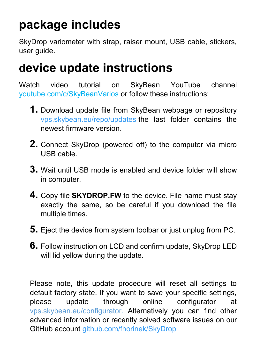#### **package includes**

SkyDrop variometer with strap, raiser mount, USB cable, stickers, user guide.

#### **device update instructions**

Watch video tutorial on SkyBean YouTube channel [youtube.com/c/SkyBeanVarios](http://www.youtube.com/c/SkyBeanVarios) or follow these instructions:

- **1.** Download update file from SkyBean webpage or repository [vps.skybean.eu/repo/updates](http://vps.skybean.eu/repo/updates/) the last folder contains the newest firmware version.
- **2.** Connect SkyDrop (powered off) to the computer via micro USB cable.
- **3.** Wait until USB mode is enabled and device folder will show in computer.
- **4.** Copy file **SKYDROP.FW** to the device. File name must stay exactly the same, so be careful if you download the file multiple times.
- **5.** Eject the device from system toolbar or just unplug from PC.
- **6.** Follow instruction on LCD and confirm update, SkyDrop LED will lid yellow during the update.

Please note, this update procedure will reset all settings to default factory state. If you want to save your specific settings, please update through online configurator at [vps.skybean.eu/configurator.](http://vps.skybean.eu/configurator) Alternatively you can find other advanced information or recently solved software issues on our GitHub account [github.com/fhorinek/SkyDrop](https://github.com/fhorinek/SkyDrop)